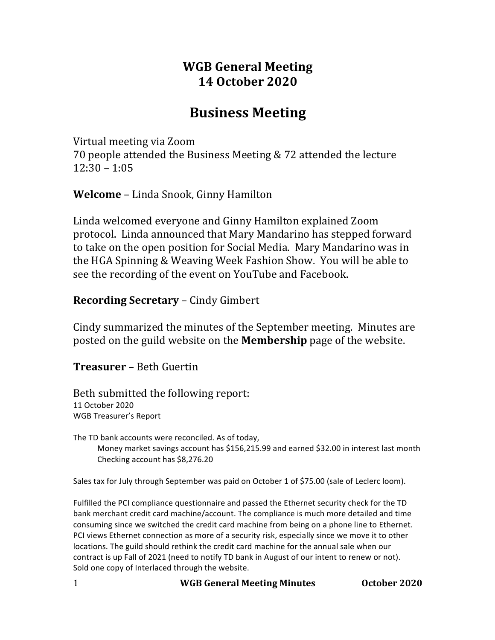# **WGB General Meeting 14 October 2020**

# **Business Meeting**

Virtual meeting via Zoom

70 people attended the Business Meeting & 72 attended the lecture  $12:30 - 1:05$ 

**Welcome** – Linda Snook, Ginny Hamilton

Linda welcomed everyone and Ginny Hamilton explained Zoom protocol. Linda announced that Mary Mandarino has stepped forward to take on the open position for Social Media. Mary Mandarino was in the HGA Spinning & Weaving Week Fashion Show. You will be able to see the recording of the event on YouTube and Facebook.

### **Recording Secretary – Cindy Gimbert**

Cindy summarized the minutes of the September meeting. Minutes are posted on the guild website on the **Membership** page of the website.

**Treasurer** – Beth Guertin

Beth submitted the following report: 11 October 2020 WGB Treasurer's Report

The TD bank accounts were reconciled. As of today, Money market savings account has \$156,215.99 and earned \$32.00 in interest last month Checking account has \$8,276.20

Sales tax for July through September was paid on October 1 of \$75.00 (sale of Leclerc loom).

Fulfilled the PCI compliance questionnaire and passed the Ethernet security check for the TD bank merchant credit card machine/account. The compliance is much more detailed and time consuming since we switched the credit card machine from being on a phone line to Ethernet. PCI views Ethernet connection as more of a security risk, especially since we move it to other locations. The guild should rethink the credit card machine for the annual sale when our contract is up Fall of 2021 (need to notify TD bank in August of our intent to renew or not). Sold one copy of Interlaced through the website.

1 **WGB General Meeting Minutes October 2020**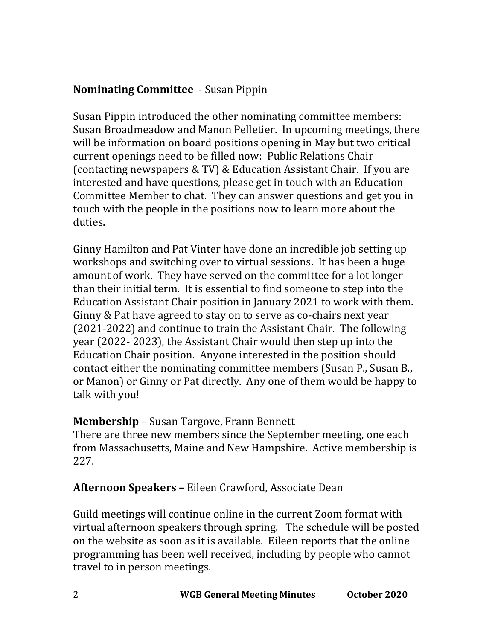## **Nominating Committee** - Susan Pippin

Susan Pippin introduced the other nominating committee members: Susan Broadmeadow and Manon Pelletier. In upcoming meetings, there will be information on board positions opening in May but two critical current openings need to be filled now: Public Relations Chair (contacting newspapers  $& TV$ ) & Education Assistant Chair. If you are interested and have questions, please get in touch with an Education Committee Member to chat. They can answer questions and get you in touch with the people in the positions now to learn more about the duties. 

Ginny Hamilton and Pat Vinter have done an incredible job setting up workshops and switching over to virtual sessions. It has been a huge amount of work. They have served on the committee for a lot longer than their initial term. It is essential to find someone to step into the Education Assistant Chair position in January 2021 to work with them. Ginny & Pat have agreed to stay on to serve as co-chairs next year (2021-2022) and continue to train the Assistant Chair. The following year (2022- 2023), the Assistant Chair would then step up into the Education Chair position. Anyone interested in the position should contact either the nominating committee members (Susan P., Susan B., or Manon) or Ginny or Pat directly. Any one of them would be happy to talk with you!

## **Membership** – Susan Targove, Frann Bennett

There are three new members since the September meeting, one each from Massachusetts, Maine and New Hampshire. Active membership is 227. 

## **Afternoon Speakers –** Eileen Crawford, Associate Dean

Guild meetings will continue online in the current Zoom format with virtual afternoon speakers through spring. The schedule will be posted on the website as soon as it is available. Eileen reports that the online programming has been well received, including by people who cannot travel to in person meetings.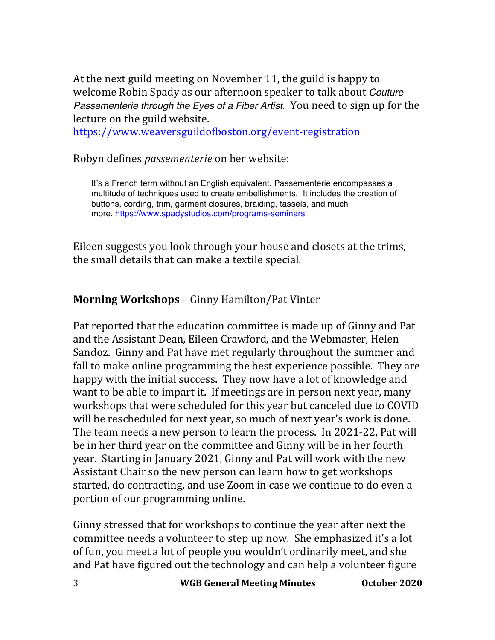At the next guild meeting on November 11, the guild is happy to welcome Robin Spady as our afternoon speaker to talk about *Couture Passementerie through the Eyes of a Fiber Artist.* You need to sign up for the lecture on the guild website. 

https://www.weaversguildofboston.org/event-registration

Robyn defines *passementerie* on her website:

It's a French term without an English equivalent. Passementerie encompasses a multitude of techniques used to create embellishments. It includes the creation of buttons, cording, trim, garment closures, braiding, tassels, and much more. https://www.spadystudios.com/programs-seminars

Eileen suggests you look through your house and closets at the trims, the small details that can make a textile special.

### **Morning Workshops** – Ginny Hamilton/Pat Vinter

Pat reported that the education committee is made up of Ginny and Pat and the Assistant Dean, Eileen Crawford, and the Webmaster, Helen Sandoz. Ginny and Pat have met regularly throughout the summer and fall to make online programming the best experience possible. They are happy with the initial success. They now have a lot of knowledge and want to be able to impart it. If meetings are in person next year, many workshops that were scheduled for this year but canceled due to COVID will be rescheduled for next year, so much of next year's work is done. The team needs a new person to learn the process. In 2021-22, Pat will be in her third year on the committee and Ginny will be in her fourth year. Starting in January 2021, Ginny and Pat will work with the new Assistant Chair so the new person can learn how to get workshops started, do contracting, and use Zoom in case we continue to do even a portion of our programming online.

Ginny stressed that for workshops to continue the year after next the committee needs a volunteer to step up now. She emphasized it's a lot of fun, you meet a lot of people you wouldn't ordinarily meet, and she and Pat have figured out the technology and can help a volunteer figure

3 **WGB General Meeting Minutes October 2020**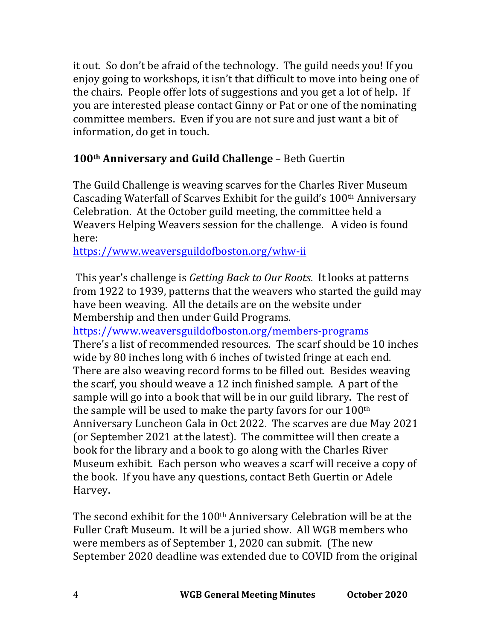it out. So don't be afraid of the technology. The guild needs you! If you enjoy going to workshops, it isn't that difficult to move into being one of the chairs. People offer lots of suggestions and you get a lot of help. If you are interested please contact Ginny or Pat or one of the nominating committee members. Even if you are not sure and just want a bit of information, do get in touch.

## **100th Anniversary and Guild Challenge** – Beth Guertin

The Guild Challenge is weaving scarves for the Charles River Museum Cascading Waterfall of Scarves Exhibit for the guild's 100<sup>th</sup> Anniversary Celebration. At the October guild meeting, the committee held a Weavers Helping Weavers session for the challenge. A video is found here:

https://www.weaversguildofboston.org/whw-ii

This year's challenge is *Getting Back to Our Roots*. It looks at patterns from 1922 to 1939, patterns that the weavers who started the guild may have been weaving. All the details are on the website under Membership and then under Guild Programs.

https://www.weaversguildofboston.org/members-programs There's a list of recommended resources. The scarf should be 10 inches wide by 80 inches long with 6 inches of twisted fringe at each end. There are also weaving record forms to be filled out. Besides weaving the scarf, you should weave a 12 inch finished sample. A part of the sample will go into a book that will be in our guild library. The rest of the sample will be used to make the party favors for our  $100^{\text{th}}$ Anniversary Luncheon Gala in Oct 2022. The scarves are due May 2021 (or September 2021 at the latest). The committee will then create a book for the library and a book to go along with the Charles River Museum exhibit. Each person who weaves a scarf will receive a copy of the book. If you have any questions, contact Beth Guertin or Adele Harvey.

The second exhibit for the  $100<sup>th</sup>$  Anniversary Celebration will be at the Fuller Craft Museum. It will be a juried show. All WGB members who were members as of September 1, 2020 can submit. (The new September 2020 deadline was extended due to COVID from the original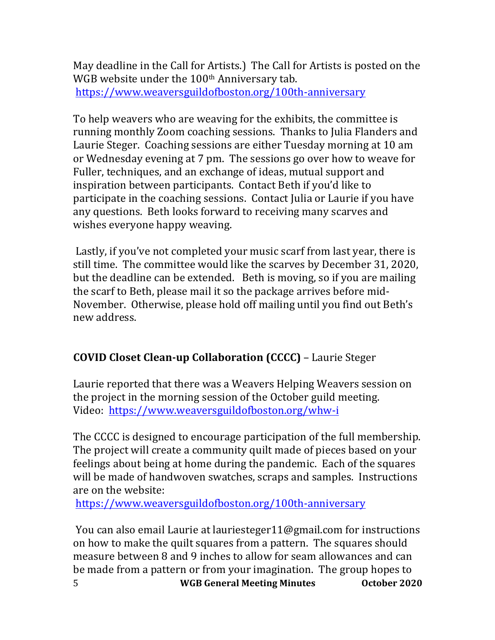May deadline in the Call for Artists.) The Call for Artists is posted on the WGB website under the 100<sup>th</sup> Anniversary tab. https://www.weaversguildofboston.org/100th-anniversary

To help weavers who are weaving for the exhibits, the committee is running monthly Zoom coaching sessions. Thanks to Julia Flanders and Laurie Steger. Coaching sessions are either Tuesday morning at 10 am or Wednesday evening at 7 pm. The sessions go over how to weave for Fuller, techniques, and an exchange of ideas, mutual support and inspiration between participants. Contact Beth if you'd like to participate in the coaching sessions. Contact Julia or Laurie if you have any questions. Beth looks forward to receiving many scarves and wishes everyone happy weaving.

Lastly, if you've not completed your music scarf from last year, there is still time. The committee would like the scarves by December 31, 2020, but the deadline can be extended. Beth is moving, so if you are mailing the scarf to Beth, please mail it so the package arrives before mid-November. Otherwise, please hold off mailing until you find out Beth's new address. 

## **COVID Closet Clean-up Collaboration (CCCC)** – Laurie Steger

Laurie reported that there was a Weavers Helping Weavers session on the project in the morning session of the October guild meeting. Video: https://www.weaversguildofboston.org/whw-i

The CCCC is designed to encourage participation of the full membership. The project will create a community quilt made of pieces based on your feelings about being at home during the pandemic. Each of the squares will be made of handwoven swatches, scraps and samples. Instructions are on the website:

https://www.weaversguildofboston.org/100th-anniversary

5 **WGB General Meeting Minutes October 2020** You can also email Laurie at lauriesteger11@gmail.com for instructions on how to make the quilt squares from a pattern. The squares should measure between 8 and 9 inches to allow for seam allowances and can be made from a pattern or from your imagination. The group hopes to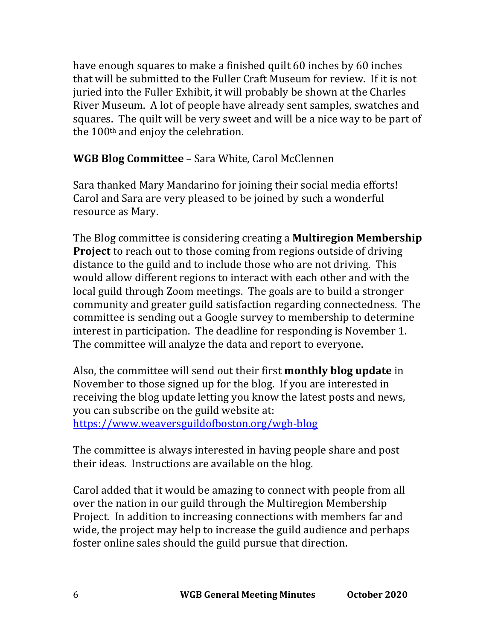have enough squares to make a finished quilt 60 inches by 60 inches that will be submitted to the Fuller Craft Museum for review. If it is not juried into the Fuller Exhibit, it will probably be shown at the Charles River Museum. A lot of people have already sent samples, swatches and squares. The quilt will be very sweet and will be a nice way to be part of the  $100<sup>th</sup>$  and enjoy the celebration.

## **WGB Blog Committee** – Sara White, Carol McClennen

Sara thanked Mary Mandarino for joining their social media efforts! Carol and Sara are very pleased to be joined by such a wonderful resource as Mary.

The Blog committee is considering creating a **Multiregion Membership Project** to reach out to those coming from regions outside of driving distance to the guild and to include those who are not driving. This would allow different regions to interact with each other and with the local guild through Zoom meetings. The goals are to build a stronger community and greater guild satisfaction regarding connectedness. The committee is sending out a Google survey to membership to determine interest in participation. The deadline for responding is November 1. The committee will analyze the data and report to everyone.

Also, the committee will send out their first **monthly blog update** in November to those signed up for the blog. If you are interested in receiving the blog update letting you know the latest posts and news, you can subscribe on the guild website at:

https://www.weaversguildofboston.org/wgb-blog

The committee is always interested in having people share and post their ideas. Instructions are available on the blog.

Carol added that it would be amazing to connect with people from all over the nation in our guild through the Multiregion Membership Project. In addition to increasing connections with members far and wide, the project may help to increase the guild audience and perhaps foster online sales should the guild pursue that direction.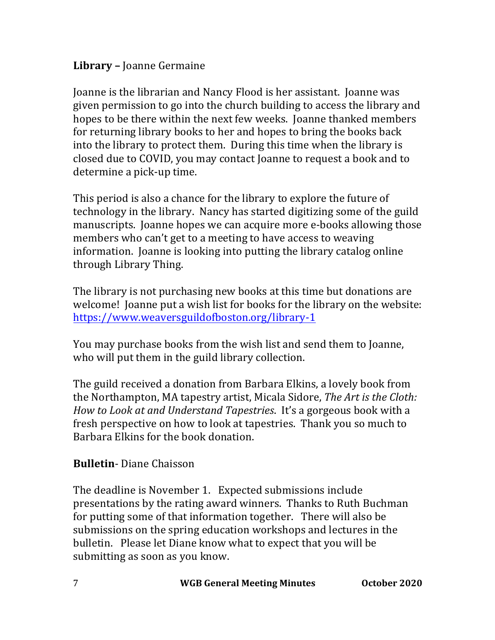## Library – Joanne Germaine

Joanne is the librarian and Nancy Flood is her assistant. Joanne was given permission to go into the church building to access the library and hopes to be there within the next few weeks. Joanne thanked members for returning library books to her and hopes to bring the books back into the library to protect them. During this time when the library is closed due to COVID, you may contact Joanne to request a book and to determine a pick-up time.

This period is also a chance for the library to explore the future of technology in the library. Nancy has started digitizing some of the guild manuscripts. Joanne hopes we can acquire more e-books allowing those members who can't get to a meeting to have access to weaving information. Joanne is looking into putting the library catalog online through Library Thing.

The library is not purchasing new books at this time but donations are welcome! Joanne put a wish list for books for the library on the website: https://www.weaversguildofboston.org/library-1

You may purchase books from the wish list and send them to Joanne, who will put them in the guild library collection.

The guild received a donation from Barbara Elkins, a lovely book from the Northampton, MA tapestry artist, Micala Sidore, *The Art is the Cloth: How to Look at and Understand Tapestries.* It's a gorgeous book with a fresh perspective on how to look at tapestries. Thank you so much to Barbara Elkins for the book donation.

## **Bulletin**-Diane Chaisson

The deadline is November 1. Expected submissions include presentations by the rating award winners. Thanks to Ruth Buchman for putting some of that information together. There will also be submissions on the spring education workshops and lectures in the bulletin. Please let Diane know what to expect that you will be submitting as soon as you know.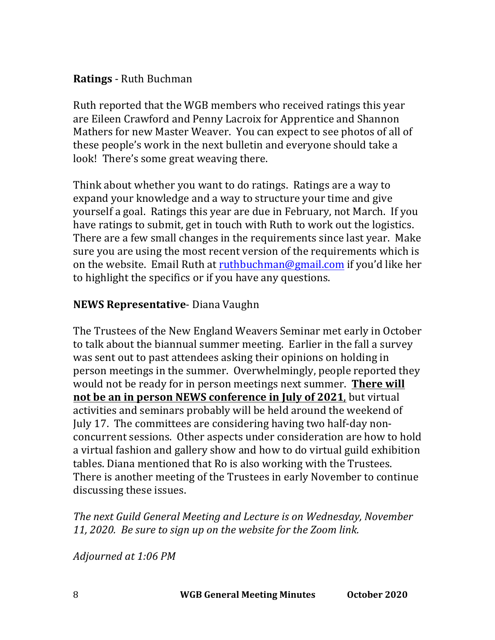## **Ratings** - Ruth Buchman

Ruth reported that the WGB members who received ratings this year are Eileen Crawford and Penny Lacroix for Apprentice and Shannon Mathers for new Master Weaver. You can expect to see photos of all of these people's work in the next bulletin and everyone should take a look! There's some great weaving there.

Think about whether you want to do ratings. Ratings are a way to expand your knowledge and a way to structure your time and give yourself a goal. Ratings this year are due in February, not March. If you have ratings to submit, get in touch with Ruth to work out the logistics. There are a few small changes in the requirements since last year. Make sure you are using the most recent version of the requirements which is on the website. Email Ruth at ruthbuchman@gmail.com if you'd like her to highlight the specifics or if you have any questions.

### **NEWS Representative-** Diana Vaughn

The Trustees of the New England Weavers Seminar met early in October to talk about the biannual summer meeting. Earlier in the fall a survey was sent out to past attendees asking their opinions on holding in person meetings in the summer. Overwhelmingly, people reported they would not be ready for in person meetings next summer. There will **not be an in person NEWS conference in July of 2021**, but virtual activities and seminars probably will be held around the weekend of July 17. The committees are considering having two half-day nonconcurrent sessions. Other aspects under consideration are how to hold a virtual fashion and gallery show and how to do virtual guild exhibition tables. Diana mentioned that Ro is also working with the Trustees. There is another meeting of the Trustees in early November to continue discussing these issues.

**The next Guild General Meeting and Lecture is on Wednesday, November** 11, 2020. Be sure to sign up on the website for the Zoom link.

*Adjourned at 1:06 PM*